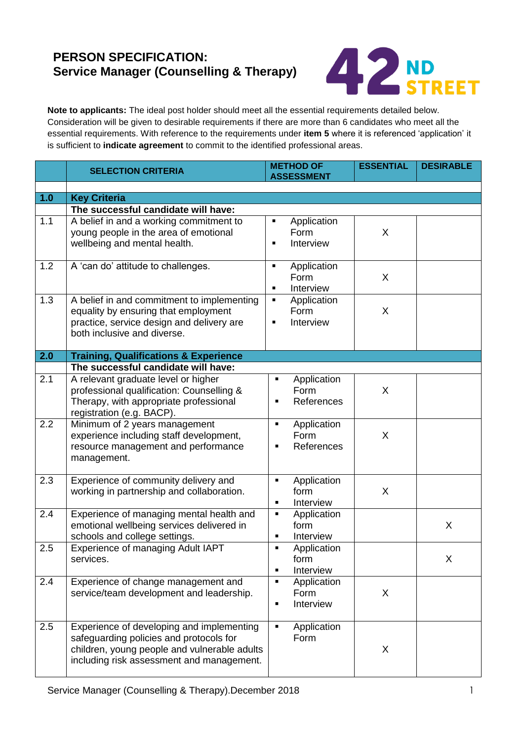## **PERSON SPECIFICATION: Service Manager (Counselling & Therapy)**



**Note to applicants:** The ideal post holder should meet all the essential requirements detailed below. Consideration will be given to desirable requirements if there are more than 6 candidates who meet all the essential requirements. With reference to the requirements under **item 5** where it is referenced 'application' it is sufficient to **indicate agreement** to commit to the identified professional areas.

|     | <b>SELECTION CRITERIA</b>                                                                                                                                                         | <b>METHOD OF</b><br><b>ASSESSMENT</b>                                | <b>ESSENTIAL</b> | <b>DESIRABLE</b> |  |
|-----|-----------------------------------------------------------------------------------------------------------------------------------------------------------------------------------|----------------------------------------------------------------------|------------------|------------------|--|
|     |                                                                                                                                                                                   |                                                                      |                  |                  |  |
| 1.0 | <b>Key Criteria</b>                                                                                                                                                               |                                                                      |                  |                  |  |
| 1.1 | The successful candidate will have:<br>A belief in and a working commitment to<br>young people in the area of emotional<br>wellbeing and mental health.                           | Application<br>٠<br>Form<br>Interview                                | X                |                  |  |
| 1.2 | A 'can do' attitude to challenges.                                                                                                                                                | Application<br>٠<br>Form<br>Interview<br>$\blacksquare$              | X                |                  |  |
| 1.3 | A belief in and commitment to implementing<br>equality by ensuring that employment<br>practice, service design and delivery are<br>both inclusive and diverse.                    | Application<br>$\blacksquare$<br>Form<br>Interview<br>$\blacksquare$ | X                |                  |  |
| 2.0 | <b>Training, Qualifications &amp; Experience</b>                                                                                                                                  |                                                                      |                  |                  |  |
|     | The successful candidate will have:                                                                                                                                               |                                                                      |                  |                  |  |
| 2.1 | A relevant graduate level or higher<br>professional qualification: Counselling &<br>Therapy, with appropriate professional<br>registration (e.g. BACP).                           | Application<br>$\blacksquare$<br>Form<br>References<br>п             | X                |                  |  |
| 2.2 | Minimum of 2 years management<br>experience including staff development,<br>resource management and performance<br>management.                                                    | Application<br>$\blacksquare$<br>Form<br>References<br>п             | X                |                  |  |
| 2.3 | Experience of community delivery and<br>working in partnership and collaboration.                                                                                                 | Application<br>$\blacksquare$<br>form<br>Interview<br>$\blacksquare$ | X                |                  |  |
| 2.4 | Experience of managing mental health and<br>emotional wellbeing services delivered in<br>schools and college settings.                                                            | Application<br>п<br>form<br>Interview<br>$\blacksquare$              |                  | X                |  |
| 2.5 | Experience of managing Adult IAPT<br>services.                                                                                                                                    | Application<br>$\blacksquare$<br>form<br>Interview<br>$\blacksquare$ |                  | X                |  |
| 2.4 | Experience of change management and<br>service/team development and leadership.                                                                                                   | Application<br>$\blacksquare$<br>Form<br>Interview<br>$\blacksquare$ | X                |                  |  |
| 2.5 | Experience of developing and implementing<br>safeguarding policies and protocols for<br>children, young people and vulnerable adults<br>including risk assessment and management. | Application<br>$\blacksquare$<br>Form                                | X                |                  |  |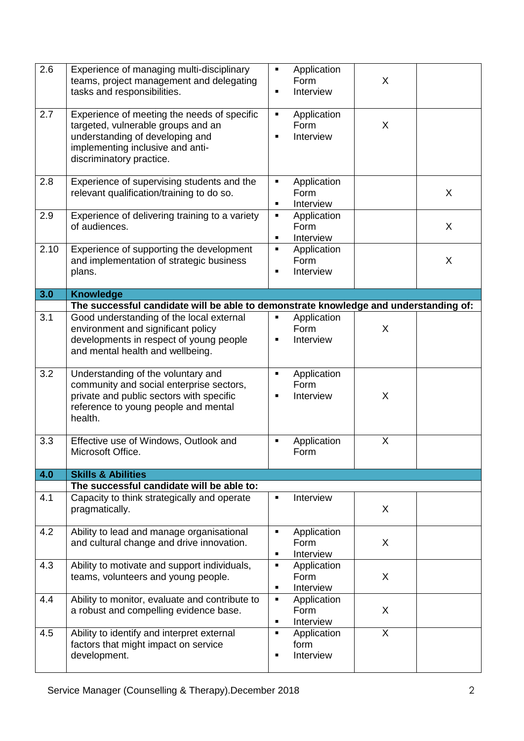| 2.6  | Experience of managing multi-disciplinary<br>teams, project management and delegating<br>tasks and responsibilities.                                                                 | ٠<br>$\blacksquare$              | Application<br>Form<br>Interview | X |   |
|------|--------------------------------------------------------------------------------------------------------------------------------------------------------------------------------------|----------------------------------|----------------------------------|---|---|
| 2.7  | Experience of meeting the needs of specific<br>targeted, vulnerable groups and an<br>understanding of developing and<br>implementing inclusive and anti-<br>discriminatory practice. | ٠<br>٠                           | Application<br>Form<br>Interview | X |   |
| 2.8  | Experience of supervising students and the<br>relevant qualification/training to do so.                                                                                              | ٠<br>$\blacksquare$              | Application<br>Form<br>Interview |   | X |
| 2.9  | Experience of delivering training to a variety<br>of audiences.                                                                                                                      | ٠<br>$\blacksquare$              | Application<br>Form<br>Interview |   | X |
| 2.10 | Experience of supporting the development<br>and implementation of strategic business<br>plans.                                                                                       | $\blacksquare$<br>$\blacksquare$ | Application<br>Form<br>Interview |   | X |
| 3.0  | <b>Knowledge</b>                                                                                                                                                                     |                                  |                                  |   |   |
|      | The successful candidate will be able to demonstrate knowledge and understanding of:                                                                                                 |                                  |                                  |   |   |
| 3.1  | Good understanding of the local external<br>environment and significant policy<br>developments in respect of young people<br>and mental health and wellbeing.                        | ٠<br>٠                           | Application<br>Form<br>Interview | X |   |
| 3.2  | Understanding of the voluntary and<br>community and social enterprise sectors,<br>private and public sectors with specific<br>reference to young people and mental<br>health.        | ٠<br>$\blacksquare$              | Application<br>Form<br>Interview | X |   |
| 3.3  | Effective use of Windows, Outlook and<br>Microsoft Office.                                                                                                                           | $\blacksquare$                   | Application<br>Form              | X |   |
| 4.0  | <b>Skills &amp; Abilities</b>                                                                                                                                                        |                                  |                                  |   |   |
|      | The successful candidate will be able to:                                                                                                                                            |                                  |                                  |   |   |
| 4.1  | Capacity to think strategically and operate<br>pragmatically.                                                                                                                        | $\blacksquare$                   | Interview                        | X |   |
| 4.2  | Ability to lead and manage organisational<br>and cultural change and drive innovation.                                                                                               | $\blacksquare$<br>٠              | Application<br>Form<br>Interview | X |   |
| 4.3  | Ability to motivate and support individuals,<br>teams, volunteers and young people.                                                                                                  | $\blacksquare$<br>٠              | Application<br>Form<br>Interview | X |   |
| 4.4  | Ability to monitor, evaluate and contribute to<br>a robust and compelling evidence base.                                                                                             | $\blacksquare$<br>٠              | Application<br>Form<br>Interview | X |   |
| 4.5  | Ability to identify and interpret external<br>factors that might impact on service<br>development.                                                                                   | $\blacksquare$<br>٠              | Application<br>form<br>Interview | X |   |